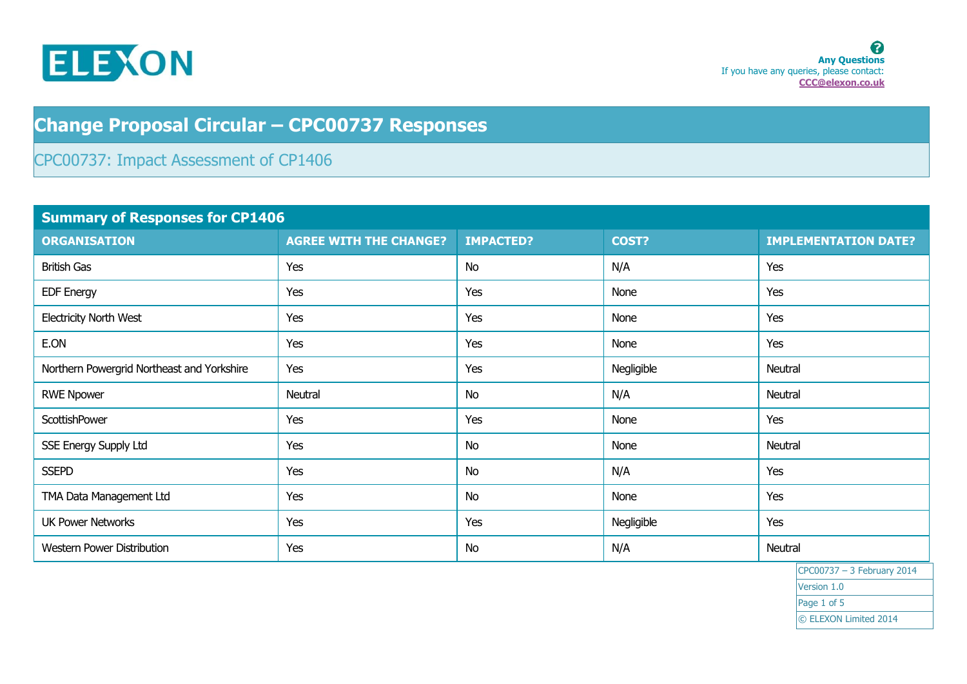

## **Change Proposal Circular – CPC00737 Responses**

## CPC00737: Impact Assessment of CP1406

| <b>Summary of Responses for CP1406</b>     |                               |                  |            |                             |
|--------------------------------------------|-------------------------------|------------------|------------|-----------------------------|
| <b>ORGANISATION</b>                        | <b>AGREE WITH THE CHANGE?</b> | <b>IMPACTED?</b> | COST?      | <b>IMPLEMENTATION DATE?</b> |
| <b>British Gas</b>                         | Yes                           | <b>No</b>        | N/A        | Yes                         |
| <b>EDF Energy</b>                          | Yes                           | Yes              | None       | Yes                         |
| <b>Electricity North West</b>              | Yes                           | Yes              | None       | Yes                         |
| E.ON                                       | Yes                           | Yes              | None       | Yes                         |
| Northern Powergrid Northeast and Yorkshire | Yes                           | Yes              | Negligible | Neutral                     |
| <b>RWE Npower</b>                          | Neutral                       | <b>No</b>        | N/A        | Neutral                     |
| ScottishPower                              | Yes                           | Yes              | None       | Yes                         |
| SSE Energy Supply Ltd                      | Yes                           | <b>No</b>        | None       | Neutral                     |
| <b>SSEPD</b>                               | Yes                           | <b>No</b>        | N/A        | Yes                         |
| TMA Data Management Ltd                    | Yes                           | <b>No</b>        | None       | Yes                         |
| <b>UK Power Networks</b>                   | Yes                           | Yes              | Negligible | Yes                         |
| Western Power Distribution                 | Yes                           | <b>No</b>        | N/A        | Neutral                     |

CPC00737 – 3 February 2014 Version 1.0 Page 1 of 5 © ELEXON Limited 2014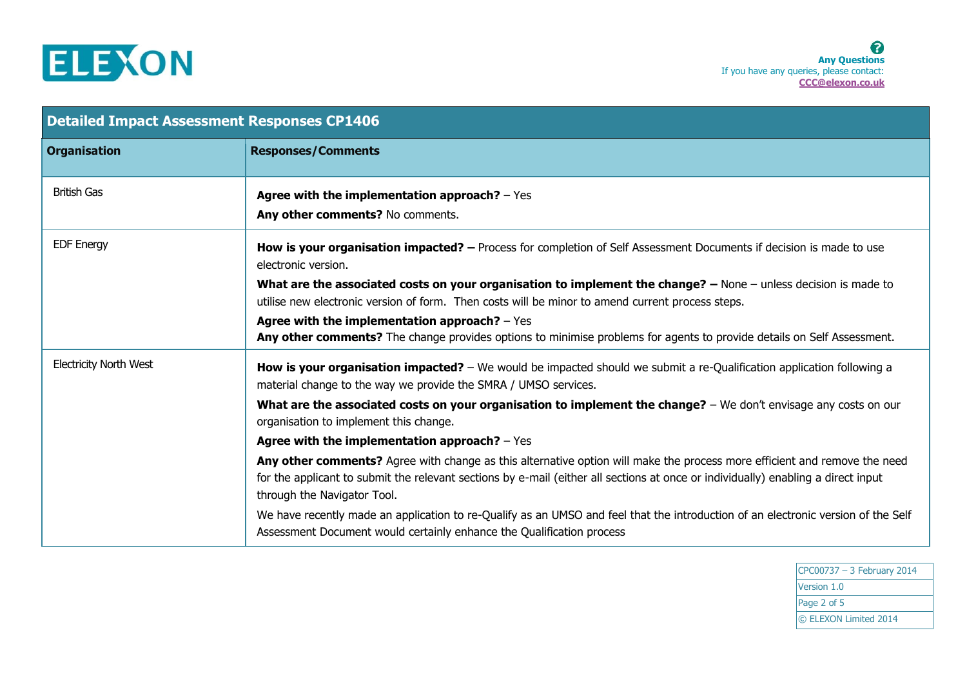

| <b>Detailed Impact Assessment Responses CP1406</b> |                                                                                                                                                                                                                                                                                               |  |
|----------------------------------------------------|-----------------------------------------------------------------------------------------------------------------------------------------------------------------------------------------------------------------------------------------------------------------------------------------------|--|
| <b>Organisation</b>                                | <b>Responses/Comments</b>                                                                                                                                                                                                                                                                     |  |
| <b>British Gas</b>                                 | Agree with the implementation approach? $-$ Yes<br>Any other comments? No comments.                                                                                                                                                                                                           |  |
| <b>EDF Energy</b>                                  | How is your organisation impacted? - Process for completion of Self Assessment Documents if decision is made to use<br>electronic version.                                                                                                                                                    |  |
|                                                    | What are the associated costs on your organisation to implement the change? - None - unless decision is made to<br>utilise new electronic version of form. Then costs will be minor to amend current process steps.                                                                           |  |
|                                                    | Agree with the implementation approach? $-$ Yes<br>Any other comments? The change provides options to minimise problems for agents to provide details on Self Assessment.                                                                                                                     |  |
| <b>Electricity North West</b>                      | How is your organisation impacted? – We would be impacted should we submit a re-Qualification application following a<br>material change to the way we provide the SMRA / UMSO services.                                                                                                      |  |
|                                                    | What are the associated costs on your organisation to implement the change? - We don't envisage any costs on our<br>organisation to implement this change.                                                                                                                                    |  |
|                                                    | Agree with the implementation approach? $-$ Yes                                                                                                                                                                                                                                               |  |
|                                                    | Any other comments? Agree with change as this alternative option will make the process more efficient and remove the need<br>for the applicant to submit the relevant sections by e-mail (either all sections at once or individually) enabling a direct input<br>through the Navigator Tool. |  |
|                                                    | We have recently made an application to re-Qualify as an UMSO and feel that the introduction of an electronic version of the Self<br>Assessment Document would certainly enhance the Qualification process                                                                                    |  |

CPC00737 – 3 February 2014 Version 1.0 Page 2 of 5 © ELEXON Limited 2014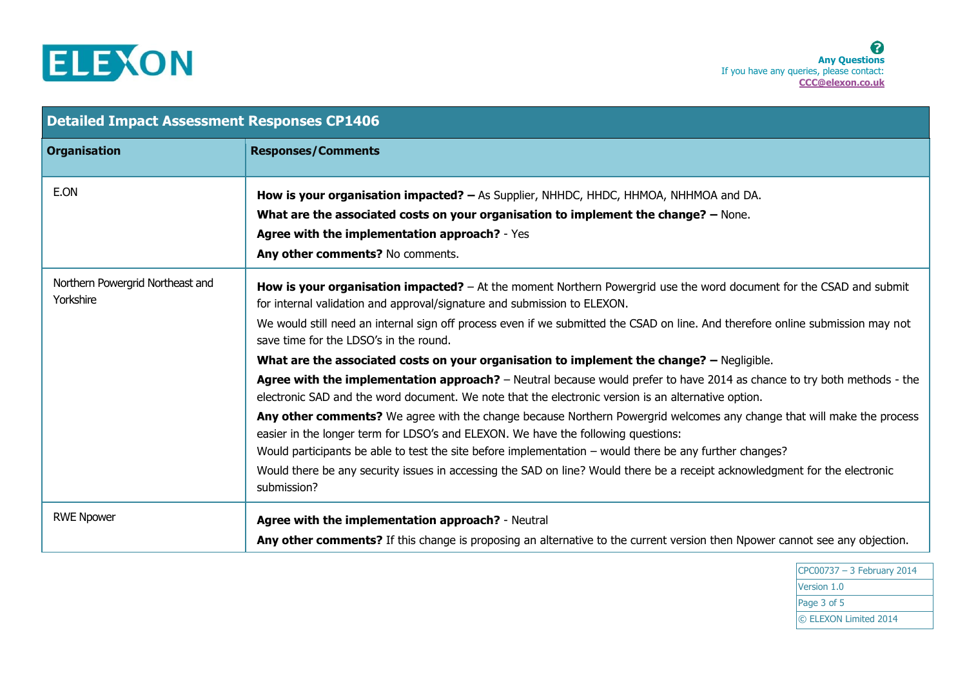

| <b>Detailed Impact Assessment Responses CP1406</b> |                                                                                                                                                                                                                                                                                                                                                                                                                                                                                                                                                                                                                                                                                                                                                                                                                                                                                                                                                                                                                                       |  |
|----------------------------------------------------|---------------------------------------------------------------------------------------------------------------------------------------------------------------------------------------------------------------------------------------------------------------------------------------------------------------------------------------------------------------------------------------------------------------------------------------------------------------------------------------------------------------------------------------------------------------------------------------------------------------------------------------------------------------------------------------------------------------------------------------------------------------------------------------------------------------------------------------------------------------------------------------------------------------------------------------------------------------------------------------------------------------------------------------|--|
| <b>Organisation</b>                                | <b>Responses/Comments</b>                                                                                                                                                                                                                                                                                                                                                                                                                                                                                                                                                                                                                                                                                                                                                                                                                                                                                                                                                                                                             |  |
| E.ON                                               | How is your organisation impacted? - As Supplier, NHHDC, HHDC, HHMOA, NHHMOA and DA.<br>What are the associated costs on your organisation to implement the change? - None.<br>Agree with the implementation approach? - Yes<br>Any other comments? No comments.                                                                                                                                                                                                                                                                                                                                                                                                                                                                                                                                                                                                                                                                                                                                                                      |  |
| Northern Powergrid Northeast and<br>Yorkshire      | How is your organisation impacted? - At the moment Northern Powergrid use the word document for the CSAD and submit<br>for internal validation and approval/signature and submission to ELEXON.<br>We would still need an internal sign off process even if we submitted the CSAD on line. And therefore online submission may not<br>save time for the LDSO's in the round.<br>What are the associated costs on your organisation to implement the change? - Negligible.<br>Agree with the implementation approach? - Neutral because would prefer to have 2014 as chance to try both methods - the<br>electronic SAD and the word document. We note that the electronic version is an alternative option.<br>Any other comments? We agree with the change because Northern Powergrid welcomes any change that will make the process<br>easier in the longer term for LDSO's and ELEXON. We have the following questions:<br>Would participants be able to test the site before implementation – would there be any further changes? |  |
|                                                    | Would there be any security issues in accessing the SAD on line? Would there be a receipt acknowledgment for the electronic<br>submission?                                                                                                                                                                                                                                                                                                                                                                                                                                                                                                                                                                                                                                                                                                                                                                                                                                                                                            |  |
| <b>RWE Npower</b>                                  | Agree with the implementation approach? - Neutral<br>Any other comments? If this change is proposing an alternative to the current version then Npower cannot see any objection.                                                                                                                                                                                                                                                                                                                                                                                                                                                                                                                                                                                                                                                                                                                                                                                                                                                      |  |

CPC00737 – 3 February 2014 Version 1.0 Page 3 of 5 © ELEXON Limited 2014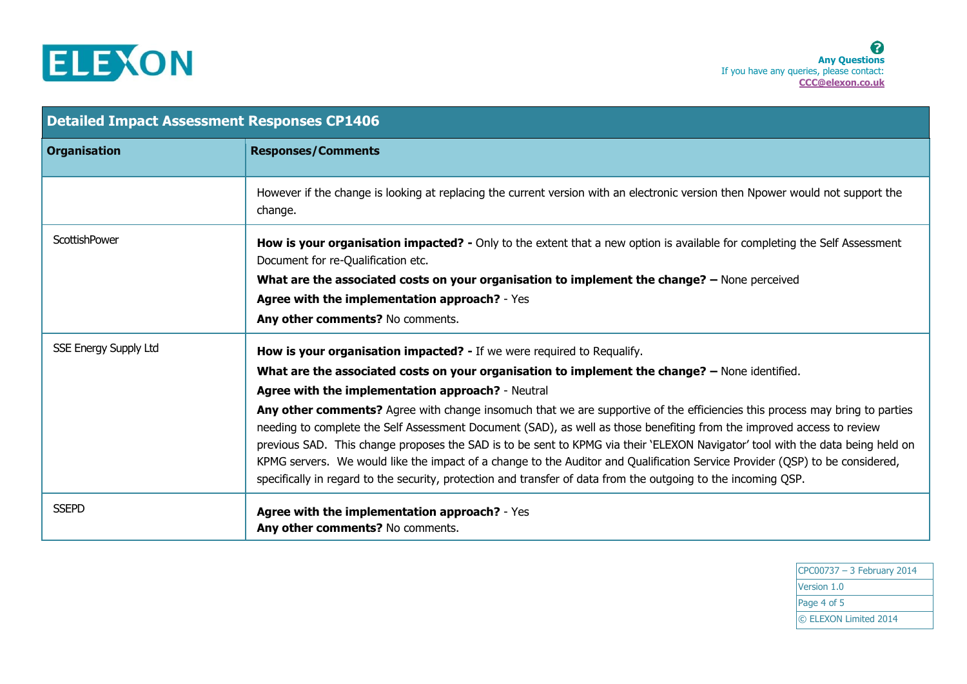

| <b>Detailed Impact Assessment Responses CP1406</b> |                                                                                                                                                                                                                                                                                                                                                                                                                                                                                                                                                                                                                                           |  |
|----------------------------------------------------|-------------------------------------------------------------------------------------------------------------------------------------------------------------------------------------------------------------------------------------------------------------------------------------------------------------------------------------------------------------------------------------------------------------------------------------------------------------------------------------------------------------------------------------------------------------------------------------------------------------------------------------------|--|
| <b>Organisation</b>                                | <b>Responses/Comments</b>                                                                                                                                                                                                                                                                                                                                                                                                                                                                                                                                                                                                                 |  |
|                                                    | However if the change is looking at replacing the current version with an electronic version then Npower would not support the<br>change.                                                                                                                                                                                                                                                                                                                                                                                                                                                                                                 |  |
| ScottishPower                                      | How is your organisation impacted? - Only to the extent that a new option is available for completing the Self Assessment<br>Document for re-Qualification etc.                                                                                                                                                                                                                                                                                                                                                                                                                                                                           |  |
|                                                    | What are the associated costs on your organisation to implement the change? - None perceived                                                                                                                                                                                                                                                                                                                                                                                                                                                                                                                                              |  |
|                                                    | Agree with the implementation approach? - Yes                                                                                                                                                                                                                                                                                                                                                                                                                                                                                                                                                                                             |  |
|                                                    | Any other comments? No comments.                                                                                                                                                                                                                                                                                                                                                                                                                                                                                                                                                                                                          |  |
| <b>SSE Energy Supply Ltd</b>                       | How is your organisation impacted? - If we were required to Requalify.                                                                                                                                                                                                                                                                                                                                                                                                                                                                                                                                                                    |  |
|                                                    | What are the associated costs on your organisation to implement the change? - None identified.                                                                                                                                                                                                                                                                                                                                                                                                                                                                                                                                            |  |
|                                                    | Agree with the implementation approach? - Neutral                                                                                                                                                                                                                                                                                                                                                                                                                                                                                                                                                                                         |  |
|                                                    | Any other comments? Agree with change insomuch that we are supportive of the efficiencies this process may bring to parties<br>needing to complete the Self Assessment Document (SAD), as well as those benefiting from the improved access to review<br>previous SAD. This change proposes the SAD is to be sent to KPMG via their 'ELEXON Navigator' tool with the data being held on<br>KPMG servers. We would like the impact of a change to the Auditor and Qualification Service Provider (QSP) to be considered,<br>specifically in regard to the security, protection and transfer of data from the outgoing to the incoming QSP. |  |
| <b>SSEPD</b>                                       | Agree with the implementation approach? - Yes<br>Any other comments? No comments.                                                                                                                                                                                                                                                                                                                                                                                                                                                                                                                                                         |  |

CPC00737 – 3 February 2014 Version 1.0 Page 4 of 5 © ELEXON Limited 2014